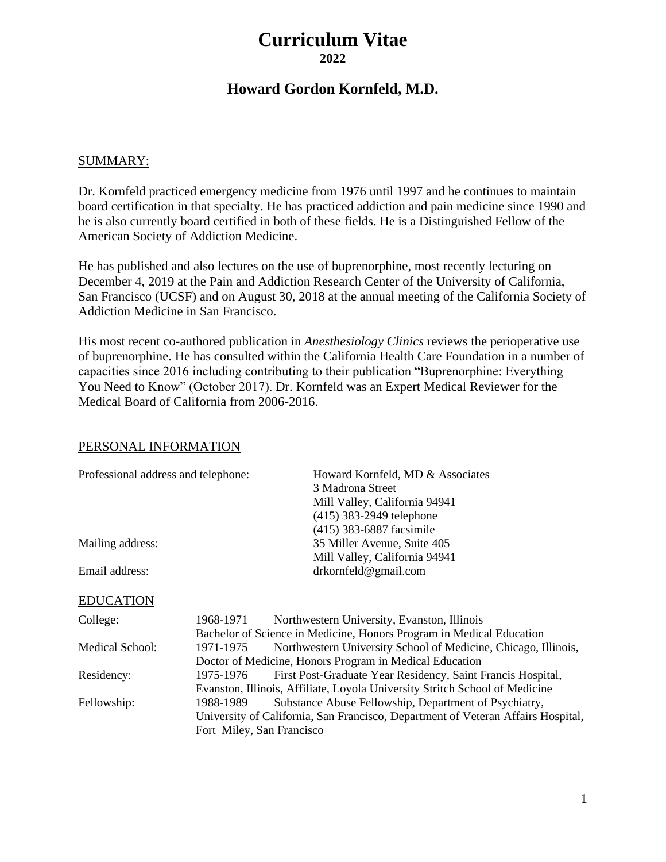# **Curriculum Vitae 2022**

# **Howard Gordon Kornfeld, M.D.**

### SUMMARY:

Dr. Kornfeld practiced emergency medicine from 1976 until 1997 and he continues to maintain board certification in that specialty. He has practiced addiction and pain medicine since 1990 and he is also currently board certified in both of these fields. He is a Distinguished Fellow of the American Society of Addiction Medicine.

He has published and also lectures on the use of buprenorphine, most recently lecturing on December 4, 2019 at the Pain and Addiction Research Center of the University of California, San Francisco (UCSF) and on August 30, 2018 at the annual meeting of the California Society of Addiction Medicine in San Francisco.

His most recent co-authored publication in *Anesthesiology Clinics* reviews the perioperative use of buprenorphine. He has consulted within the California Health Care Foundation in a number of capacities since 2016 including contributing to their publication "Buprenorphine: Everything You Need to Know" (October 2017). Dr. Kornfeld was an Expert Medical Reviewer for the Medical Board of California from 2006-2016.

#### PERSONAL INFORMATION

| Professional address and telephone: |                                        | Howard Kornfeld, MD & Associates<br>3 Madrona Street<br>Mill Valley, California 94941<br>(415) 383-2949 telephone<br>(415) 383-6887 facsimile                                                         |
|-------------------------------------|----------------------------------------|-------------------------------------------------------------------------------------------------------------------------------------------------------------------------------------------------------|
| Mailing address:                    |                                        | 35 Miller Avenue, Suite 405                                                                                                                                                                           |
| Email address:                      |                                        | Mill Valley, California 94941<br>drkornfeld@gmail.com                                                                                                                                                 |
| <b>EDUCATION</b>                    |                                        |                                                                                                                                                                                                       |
| College:                            | 1968-1971                              | Northwestern University, Evanston, Illinois<br>Bachelor of Science in Medicine, Honors Program in Medical Education                                                                                   |
| <b>Medical School:</b>              | 1971-1975                              | Northwestern University School of Medicine, Chicago, Illinois,                                                                                                                                        |
| Residency:                          | 1975-1976                              | Doctor of Medicine, Honors Program in Medical Education<br>First Post-Graduate Year Residency, Saint Francis Hospital,<br>Evanston, Illinois, Affiliate, Loyola University Stritch School of Medicine |
| Fellowship:                         | 1988-1989<br>Fort Miley, San Francisco | Substance Abuse Fellowship, Department of Psychiatry,<br>University of California, San Francisco, Department of Veteran Affairs Hospital,                                                             |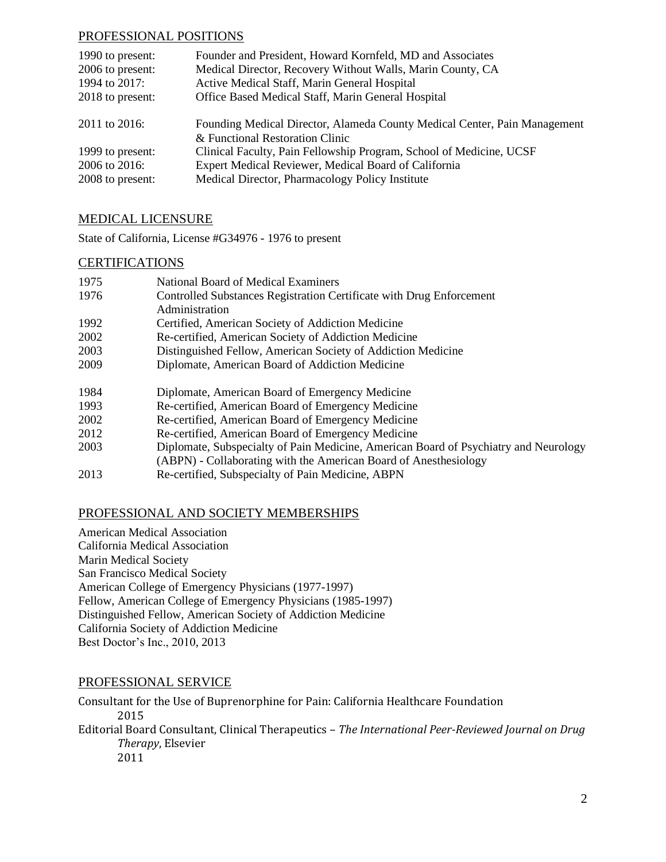### PROFESSIONAL POSITIONS

| 1990 to present: | Founder and President, Howard Kornfeld, MD and Associates                 |
|------------------|---------------------------------------------------------------------------|
| 2006 to present: | Medical Director, Recovery Without Walls, Marin County, CA                |
| 1994 to 2017:    | Active Medical Staff, Marin General Hospital                              |
| 2018 to present: | Office Based Medical Staff, Marin General Hospital                        |
| 2011 to 2016:    | Founding Medical Director, Alameda County Medical Center, Pain Management |
|                  | & Functional Restoration Clinic                                           |
| 1999 to present: | Clinical Faculty, Pain Fellowship Program, School of Medicine, UCSF       |
| 2006 to 2016:    | Expert Medical Reviewer, Medical Board of California                      |
| 2008 to present: | Medical Director, Pharmacology Policy Institute                           |
|                  |                                                                           |

### MEDICAL LICENSURE

State of California, License #G34976 - 1976 to present

#### **CERTIFICATIONS**

| 1975 | National Board of Medical Examiners                                                  |
|------|--------------------------------------------------------------------------------------|
| 1976 | Controlled Substances Registration Certificate with Drug Enforcement                 |
|      | Administration                                                                       |
| 1992 | Certified, American Society of Addiction Medicine                                    |
| 2002 | Re-certified, American Society of Addiction Medicine                                 |
| 2003 | Distinguished Fellow, American Society of Addiction Medicine                         |
| 2009 | Diplomate, American Board of Addiction Medicine                                      |
| 1984 | Diplomate, American Board of Emergency Medicine                                      |
| 1993 | Re-certified, American Board of Emergency Medicine                                   |
| 2002 | Re-certified, American Board of Emergency Medicine                                   |
| 2012 | Re-certified, American Board of Emergency Medicine                                   |
| 2003 | Diplomate, Subspecialty of Pain Medicine, American Board of Psychiatry and Neurology |
|      | (ABPN) - Collaborating with the American Board of Anesthesiology                     |
| 2013 | Re-certified, Subspecialty of Pain Medicine, ABPN                                    |

### PROFESSIONAL AND SOCIETY MEMBERSHIPS

American Medical Association California Medical Association Marin Medical Society San Francisco Medical Society American College of Emergency Physicians (1977-1997) Fellow, American College of Emergency Physicians (1985-1997) Distinguished Fellow, American Society of Addiction Medicine California Society of Addiction Medicine Best Doctor's Inc., 2010, 2013

### PROFESSIONAL SERVICE

Consultant for the Use of Buprenorphine for Pain: California Healthcare Foundation 2015 Editorial Board Consultant, Clinical Therapeutics – *The International Peer-Reviewed Journal on Drug Therapy*, Elsevier 2011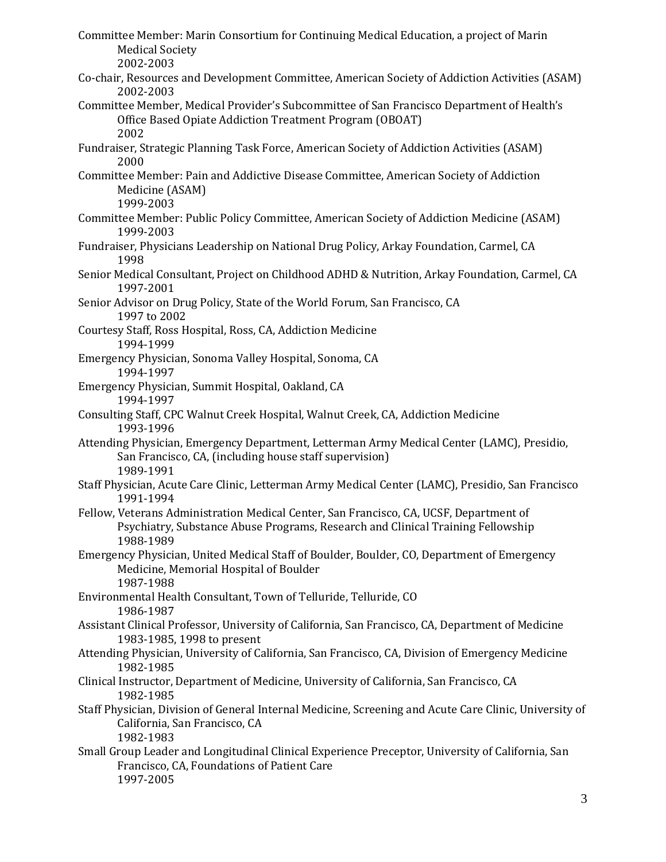Committee Member: Marin Consortium for Continuing Medical Education, a project of Marin Medical Society 2002-2003 Co-chair, Resources and Development Committee, American Society of Addiction Activities (ASAM) 2002-2003 Committee Member, Medical Provider's Subcommittee of San Francisco Department of Health's Office Based Opiate Addiction Treatment Program (OBOAT) 2002 Fundraiser, Strategic Planning Task Force, American Society of Addiction Activities (ASAM) 2000 Committee Member: Pain and Addictive Disease Committee, American Society of Addiction Medicine (ASAM) 1999-2003 Committee Member: Public Policy Committee, American Society of Addiction Medicine (ASAM) 1999-2003 Fundraiser, Physicians Leadership on National Drug Policy, Arkay Foundation, Carmel, CA 1998 Senior Medical Consultant, Project on Childhood ADHD & Nutrition, Arkay Foundation, Carmel, CA 1997-2001 Senior Advisor on Drug Policy, State of the World Forum, San Francisco, CA 1997 to 2002 Courtesy Staff, Ross Hospital, Ross, CA, Addiction Medicine 1994-1999 Emergency Physician, Sonoma Valley Hospital, Sonoma, CA 1994-1997 Emergency Physician, Summit Hospital, Oakland, CA 1994-1997 Consulting Staff, CPC Walnut Creek Hospital, Walnut Creek, CA, Addiction Medicine 1993-1996 Attending Physician, Emergency Department, Letterman Army Medical Center (LAMC), Presidio, San Francisco, CA, (including house staff supervision) 1989-1991 Staff Physician, Acute Care Clinic, Letterman Army Medical Center (LAMC), Presidio, San Francisco 1991-1994 Fellow, Veterans Administration Medical Center, San Francisco, CA, UCSF, Department of Psychiatry, Substance Abuse Programs, Research and Clinical Training Fellowship 1988-1989 Emergency Physician, United Medical Staff of Boulder, Boulder, CO, Department of Emergency Medicine, Memorial Hospital of Boulder 1987-1988 Environmental Health Consultant, Town of Telluride, Telluride, CO 1986-1987 Assistant Clinical Professor, University of California, San Francisco, CA, Department of Medicine 1983-1985, 1998 to present Attending Physician, University of California, San Francisco, CA, Division of Emergency Medicine 1982-1985 Clinical Instructor, Department of Medicine, University of California, San Francisco, CA 1982-1985 Staff Physician, Division of General Internal Medicine, Screening and Acute Care Clinic, University of California, San Francisco, CA 1982-1983 Small Group Leader and Longitudinal Clinical Experience Preceptor, University of California, San Francisco, CA, Foundations of Patient Care 1997-2005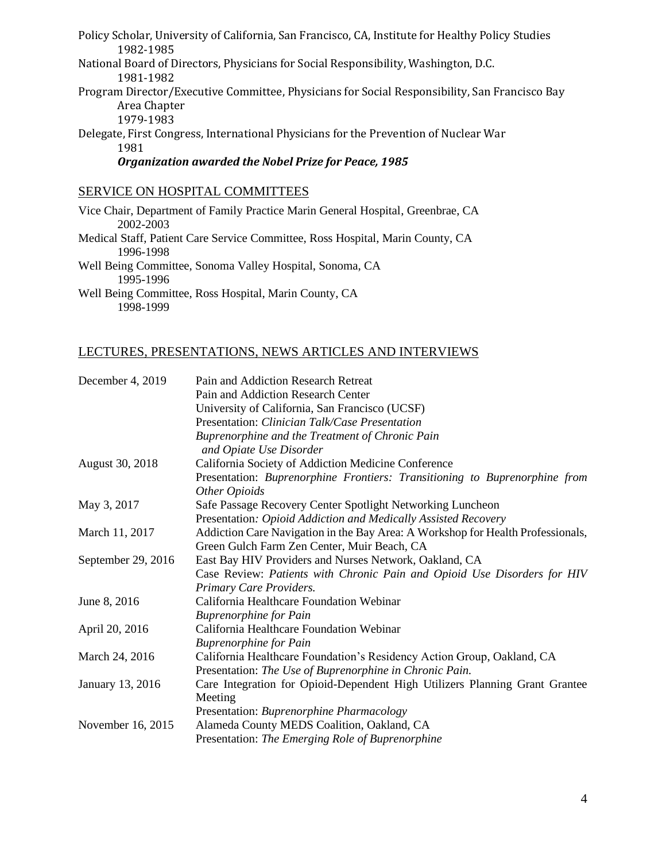Policy Scholar, University of California, San Francisco, CA, Institute for Healthy Policy Studies 1982-1985 National Board of Directors, Physicians for Social Responsibility, Washington, D.C. 1981-1982 Program Director/Executive Committee, Physicians for Social Responsibility, San Francisco Bay Area Chapter 1979-1983 Delegate, First Congress, International Physicians for the Prevention of Nuclear War 1981 *Organization awarded the Nobel Prize for Peace, 1985*

## SERVICE ON HOSPITAL COMMITTEES

Vice Chair, Department of Family Practice Marin General Hospital, Greenbrae, CA 2002-2003 Medical Staff, Patient Care Service Committee, Ross Hospital, Marin County, CA 1996-1998 Well Being Committee, Sonoma Valley Hospital, Sonoma, CA 1995-1996 Well Being Committee, Ross Hospital, Marin County, CA 1998-1999

## LECTURES, PRESENTATIONS, NEWS ARTICLES AND INTERVIEWS

| December 4, 2019   | Pain and Addiction Research Retreat                                             |
|--------------------|---------------------------------------------------------------------------------|
|                    | Pain and Addiction Research Center                                              |
|                    | University of California, San Francisco (UCSF)                                  |
|                    | Presentation: Clinician Talk/Case Presentation                                  |
|                    | Buprenorphine and the Treatment of Chronic Pain<br>and Opiate Use Disorder      |
| August 30, 2018    | California Society of Addiction Medicine Conference                             |
|                    | Presentation: Buprenorphine Frontiers: Transitioning to Buprenorphine from      |
|                    | Other Opioids                                                                   |
| May 3, 2017        | Safe Passage Recovery Center Spotlight Networking Luncheon                      |
|                    | Presentation: Opioid Addiction and Medically Assisted Recovery                  |
| March 11, 2017     | Addiction Care Navigation in the Bay Area: A Workshop for Health Professionals, |
|                    | Green Gulch Farm Zen Center, Muir Beach, CA                                     |
| September 29, 2016 | East Bay HIV Providers and Nurses Network, Oakland, CA                          |
|                    | Case Review: Patients with Chronic Pain and Opioid Use Disorders for HIV        |
|                    | Primary Care Providers.                                                         |
| June 8, 2016       | California Healthcare Foundation Webinar                                        |
|                    | <b>Buprenorphine for Pain</b>                                                   |
| April 20, 2016     | California Healthcare Foundation Webinar                                        |
|                    | <b>Buprenorphine for Pain</b>                                                   |
| March 24, 2016     | California Healthcare Foundation's Residency Action Group, Oakland, CA          |
|                    | Presentation: The Use of Buprenorphine in Chronic Pain.                         |
| January 13, 2016   | Care Integration for Opioid-Dependent High Utilizers Planning Grant Grantee     |
|                    | Meeting                                                                         |
|                    | Presentation: Buprenorphine Pharmacology                                        |
| November 16, 2015  | Alameda County MEDS Coalition, Oakland, CA                                      |
|                    | Presentation: The Emerging Role of Buprenorphine                                |
|                    |                                                                                 |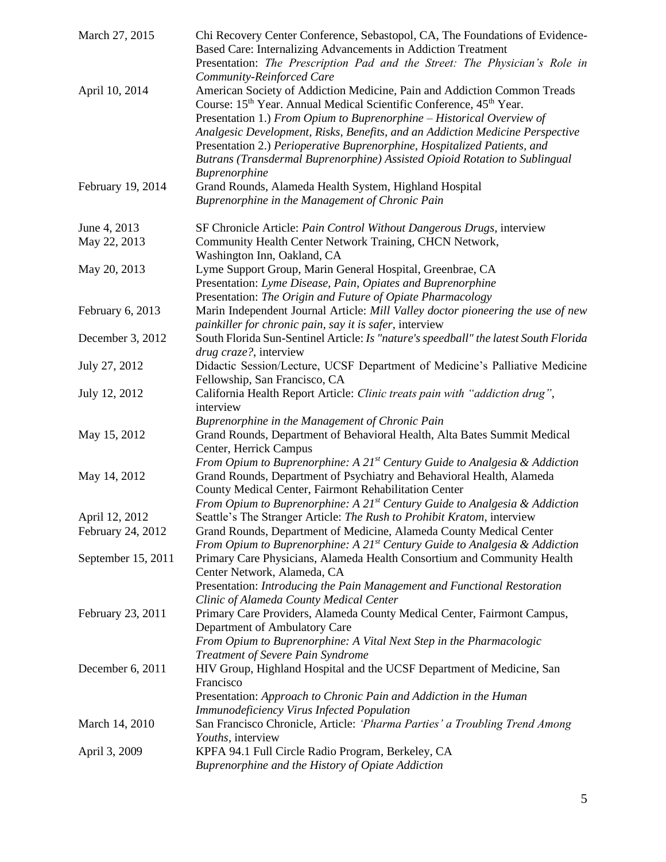| March 27, 2015               | Chi Recovery Center Conference, Sebastopol, CA, The Foundations of Evidence-<br>Based Care: Internalizing Advancements in Addiction Treatment<br>Presentation: The Prescription Pad and the Street: The Physician's Role in<br>Community-Reinforced Care                                                                                                                                                                                                                                                     |
|------------------------------|--------------------------------------------------------------------------------------------------------------------------------------------------------------------------------------------------------------------------------------------------------------------------------------------------------------------------------------------------------------------------------------------------------------------------------------------------------------------------------------------------------------|
| April 10, 2014               | American Society of Addiction Medicine, Pain and Addiction Common Treads<br>Course: 15 <sup>th</sup> Year. Annual Medical Scientific Conference, 45 <sup>th</sup> Year.<br>Presentation 1.) From Opium to Buprenorphine - Historical Overview of<br>Analgesic Development, Risks, Benefits, and an Addiction Medicine Perspective<br>Presentation 2.) Perioperative Buprenorphine, Hospitalized Patients, and<br>Butrans (Transdermal Buprenorphine) Assisted Opioid Rotation to Sublingual<br>Buprenorphine |
| February 19, 2014            | Grand Rounds, Alameda Health System, Highland Hospital<br>Buprenorphine in the Management of Chronic Pain                                                                                                                                                                                                                                                                                                                                                                                                    |
| June 4, 2013<br>May 22, 2013 | SF Chronicle Article: Pain Control Without Dangerous Drugs, interview<br>Community Health Center Network Training, CHCN Network,<br>Washington Inn, Oakland, CA                                                                                                                                                                                                                                                                                                                                              |
| May 20, 2013                 | Lyme Support Group, Marin General Hospital, Greenbrae, CA<br>Presentation: Lyme Disease, Pain, Opiates and Buprenorphine<br>Presentation: The Origin and Future of Opiate Pharmacology                                                                                                                                                                                                                                                                                                                       |
| February 6, 2013             | Marin Independent Journal Article: Mill Valley doctor pioneering the use of new<br>painkiller for chronic pain, say it is safer, interview                                                                                                                                                                                                                                                                                                                                                                   |
| December 3, 2012             | South Florida Sun-Sentinel Article: Is "nature's speedball" the latest South Florida<br>drug craze?, interview                                                                                                                                                                                                                                                                                                                                                                                               |
| July 27, 2012                | Didactic Session/Lecture, UCSF Department of Medicine's Palliative Medicine<br>Fellowship, San Francisco, CA                                                                                                                                                                                                                                                                                                                                                                                                 |
| July 12, 2012                | California Health Report Article: Clinic treats pain with "addiction drug",<br>interview                                                                                                                                                                                                                                                                                                                                                                                                                     |
| May 15, 2012                 | Buprenorphine in the Management of Chronic Pain<br>Grand Rounds, Department of Behavioral Health, Alta Bates Summit Medical<br>Center, Herrick Campus<br>From Opium to Buprenorphine: A $21^{st}$ Century Guide to Analgesia & Addiction                                                                                                                                                                                                                                                                     |
| May 14, 2012                 | Grand Rounds, Department of Psychiatry and Behavioral Health, Alameda<br>County Medical Center, Fairmont Rehabilitation Center<br>From Opium to Buprenorphine: A $21^{st}$ Century Guide to Analgesia & Addiction                                                                                                                                                                                                                                                                                            |
| April 12, 2012               | Seattle's The Stranger Article: The Rush to Prohibit Kratom, interview                                                                                                                                                                                                                                                                                                                                                                                                                                       |
| February 24, 2012            | Grand Rounds, Department of Medicine, Alameda County Medical Center<br>From Opium to Buprenorphine: A $21^{st}$ Century Guide to Analgesia & Addiction                                                                                                                                                                                                                                                                                                                                                       |
| September 15, 2011           | Primary Care Physicians, Alameda Health Consortium and Community Health<br>Center Network, Alameda, CA<br>Presentation: Introducing the Pain Management and Functional Restoration<br>Clinic of Alameda County Medical Center                                                                                                                                                                                                                                                                                |
| February 23, 2011            | Primary Care Providers, Alameda County Medical Center, Fairmont Campus,<br>Department of Ambulatory Care<br>From Opium to Buprenorphine: A Vital Next Step in the Pharmacologic                                                                                                                                                                                                                                                                                                                              |
| December 6, 2011             | Treatment of Severe Pain Syndrome<br>HIV Group, Highland Hospital and the UCSF Department of Medicine, San<br>Francisco<br>Presentation: Approach to Chronic Pain and Addiction in the Human                                                                                                                                                                                                                                                                                                                 |
| March 14, 2010               | <b>Immunodeficiency Virus Infected Population</b><br>San Francisco Chronicle, Article: 'Pharma Parties' a Troubling Trend Among                                                                                                                                                                                                                                                                                                                                                                              |
| April 3, 2009                | Youths, interview<br>KPFA 94.1 Full Circle Radio Program, Berkeley, CA<br>Buprenorphine and the History of Opiate Addiction                                                                                                                                                                                                                                                                                                                                                                                  |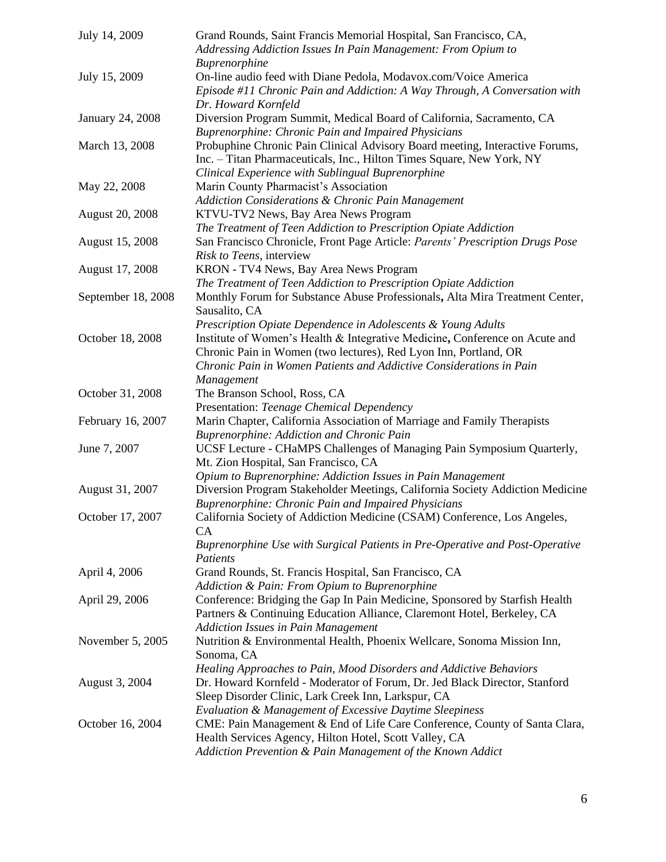| July 14, 2009          | Grand Rounds, Saint Francis Memorial Hospital, San Francisco, CA,<br>Addressing Addiction Issues In Pain Management: From Opium to                                                                                     |
|------------------------|------------------------------------------------------------------------------------------------------------------------------------------------------------------------------------------------------------------------|
| July 15, 2009          | Buprenorphine<br>On-line audio feed with Diane Pedola, Modavox.com/Voice America<br>Episode #11 Chronic Pain and Addiction: A Way Through, A Conversation with<br>Dr. Howard Kornfeld                                  |
| January 24, 2008       | Diversion Program Summit, Medical Board of California, Sacramento, CA<br><b>Buprenorphine: Chronic Pain and Impaired Physicians</b>                                                                                    |
| March 13, 2008         | Probuphine Chronic Pain Clinical Advisory Board meeting, Interactive Forums,<br>Inc. - Titan Pharmaceuticals, Inc., Hilton Times Square, New York, NY<br>Clinical Experience with Sublingual Buprenorphine             |
| May 22, 2008           | Marin County Pharmacist's Association<br><b>Addiction Considerations &amp; Chronic Pain Management</b>                                                                                                                 |
| <b>August 20, 2008</b> | KTVU-TV2 News, Bay Area News Program<br>The Treatment of Teen Addiction to Prescription Opiate Addiction                                                                                                               |
| August 15, 2008        | San Francisco Chronicle, Front Page Article: Parents' Prescription Drugs Pose<br>Risk to Teens, interview                                                                                                              |
| August 17, 2008        | KRON - TV4 News, Bay Area News Program<br>The Treatment of Teen Addiction to Prescription Opiate Addiction                                                                                                             |
| September 18, 2008     | Monthly Forum for Substance Abuse Professionals, Alta Mira Treatment Center,<br>Sausalito, CA<br>Prescription Opiate Dependence in Adolescents & Young Adults                                                          |
| October 18, 2008       | Institute of Women's Health & Integrative Medicine, Conference on Acute and<br>Chronic Pain in Women (two lectures), Red Lyon Inn, Portland, OR<br>Chronic Pain in Women Patients and Addictive Considerations in Pain |
| October 31, 2008       | Management<br>The Branson School, Ross, CA                                                                                                                                                                             |
| February 16, 2007      | Presentation: Teenage Chemical Dependency<br>Marin Chapter, California Association of Marriage and Family Therapists<br>Buprenorphine: Addiction and Chronic Pain                                                      |
| June 7, 2007           | UCSF Lecture - CHaMPS Challenges of Managing Pain Symposium Quarterly,<br>Mt. Zion Hospital, San Francisco, CA<br>Opium to Buprenorphine: Addiction Issues in Pain Management                                          |
| August 31, 2007        | Diversion Program Stakeholder Meetings, California Society Addiction Medicine<br>Buprenorphine: Chronic Pain and Impaired Physicians                                                                                   |
| October 17, 2007       | California Society of Addiction Medicine (CSAM) Conference, Los Angeles,<br>CA<br>Buprenorphine Use with Surgical Patients in Pre-Operative and Post-Operative<br>Patients                                             |
| April 4, 2006          | Grand Rounds, St. Francis Hospital, San Francisco, CA<br>Addiction & Pain: From Opium to Buprenorphine                                                                                                                 |
| April 29, 2006         | Conference: Bridging the Gap In Pain Medicine, Sponsored by Starfish Health<br>Partners & Continuing Education Alliance, Claremont Hotel, Berkeley, CA<br><b>Addiction Issues in Pain Management</b>                   |
| November 5, 2005       | Nutrition & Environmental Health, Phoenix Wellcare, Sonoma Mission Inn,<br>Sonoma, CA<br>Healing Approaches to Pain, Mood Disorders and Addictive Behaviors                                                            |
| August 3, 2004         | Dr. Howard Kornfeld - Moderator of Forum, Dr. Jed Black Director, Stanford<br>Sleep Disorder Clinic, Lark Creek Inn, Larkspur, CA<br>Evaluation & Management of Excessive Daytime Sleepiness                           |
| October 16, 2004       | CME: Pain Management & End of Life Care Conference, County of Santa Clara,<br>Health Services Agency, Hilton Hotel, Scott Valley, CA<br>Addiction Prevention & Pain Management of the Known Addict                     |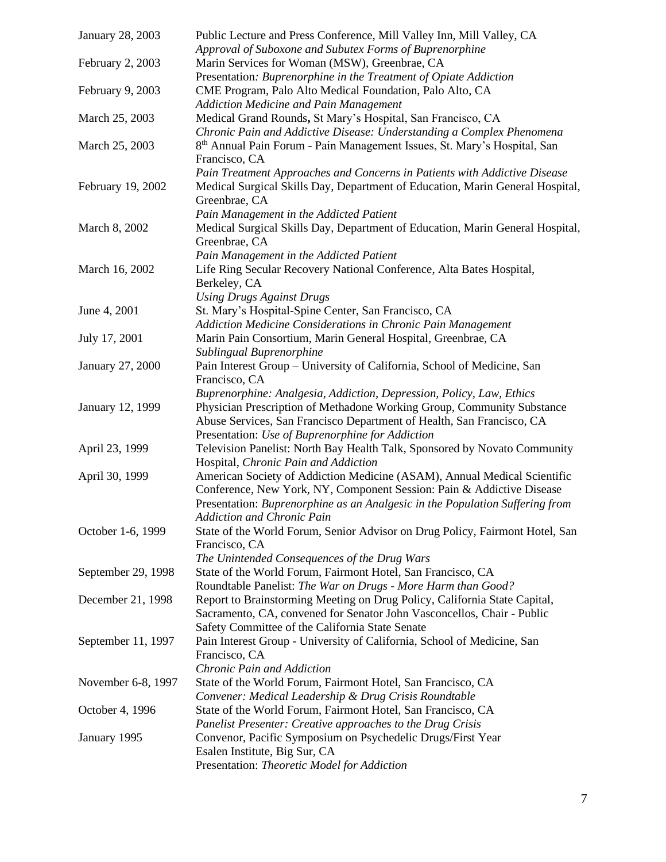| January 28, 2003   | Public Lecture and Press Conference, Mill Valley Inn, Mill Valley, CA<br>Approval of Suboxone and Subutex Forms of Buprenorphine                                                                                                  |
|--------------------|-----------------------------------------------------------------------------------------------------------------------------------------------------------------------------------------------------------------------------------|
| February 2, 2003   | Marin Services for Woman (MSW), Greenbrae, CA<br>Presentation: Buprenorphine in the Treatment of Opiate Addiction                                                                                                                 |
| February 9, 2003   | CME Program, Palo Alto Medical Foundation, Palo Alto, CA<br><b>Addiction Medicine and Pain Management</b>                                                                                                                         |
| March 25, 2003     | Medical Grand Rounds, St Mary's Hospital, San Francisco, CA<br>Chronic Pain and Addictive Disease: Understanding a Complex Phenomena                                                                                              |
| March 25, 2003     | 8 <sup>th</sup> Annual Pain Forum - Pain Management Issues, St. Mary's Hospital, San<br>Francisco, CA                                                                                                                             |
| February 19, 2002  | Pain Treatment Approaches and Concerns in Patients with Addictive Disease<br>Medical Surgical Skills Day, Department of Education, Marin General Hospital,<br>Greenbrae, CA                                                       |
| March 8, 2002      | Pain Management in the Addicted Patient<br>Medical Surgical Skills Day, Department of Education, Marin General Hospital,<br>Greenbrae, CA                                                                                         |
| March 16, 2002     | Pain Management in the Addicted Patient<br>Life Ring Secular Recovery National Conference, Alta Bates Hospital,<br>Berkeley, CA                                                                                                   |
| June 4, 2001       | <b>Using Drugs Against Drugs</b><br>St. Mary's Hospital-Spine Center, San Francisco, CA<br>Addiction Medicine Considerations in Chronic Pain Management                                                                           |
| July 17, 2001      | Marin Pain Consortium, Marin General Hospital, Greenbrae, CA<br>Sublingual Buprenorphine                                                                                                                                          |
| January 27, 2000   | Pain Interest Group - University of California, School of Medicine, San<br>Francisco, CA                                                                                                                                          |
| January 12, 1999   | Buprenorphine: Analgesia, Addiction, Depression, Policy, Law, Ethics<br>Physician Prescription of Methadone Working Group, Community Substance<br>Abuse Services, San Francisco Department of Health, San Francisco, CA           |
| April 23, 1999     | Presentation: Use of Buprenorphine for Addiction<br>Television Panelist: North Bay Health Talk, Sponsored by Novato Community<br>Hospital, Chronic Pain and Addiction                                                             |
| April 30, 1999     | American Society of Addiction Medicine (ASAM), Annual Medical Scientific<br>Conference, New York, NY, Component Session: Pain & Addictive Disease<br>Presentation: Buprenorphine as an Analgesic in the Population Suffering from |
| October 1-6, 1999  | <b>Addiction and Chronic Pain</b><br>State of the World Forum, Senior Advisor on Drug Policy, Fairmont Hotel, San<br>Francisco, CA<br>The Unintended Consequences of the Drug Wars                                                |
| September 29, 1998 | State of the World Forum, Fairmont Hotel, San Francisco, CA<br>Roundtable Panelist: The War on Drugs - More Harm than Good?                                                                                                       |
| December 21, 1998  | Report to Brainstorming Meeting on Drug Policy, California State Capital,<br>Sacramento, CA, convened for Senator John Vasconcellos, Chair - Public<br>Safety Committee of the California State Senate                            |
| September 11, 1997 | Pain Interest Group - University of California, School of Medicine, San<br>Francisco, CA<br>Chronic Pain and Addiction                                                                                                            |
| November 6-8, 1997 | State of the World Forum, Fairmont Hotel, San Francisco, CA<br>Convener: Medical Leadership & Drug Crisis Roundtable                                                                                                              |
| October 4, 1996    | State of the World Forum, Fairmont Hotel, San Francisco, CA<br>Panelist Presenter: Creative approaches to the Drug Crisis                                                                                                         |
| January 1995       | Convenor, Pacific Symposium on Psychedelic Drugs/First Year<br>Esalen Institute, Big Sur, CA<br>Presentation: Theoretic Model for Addiction                                                                                       |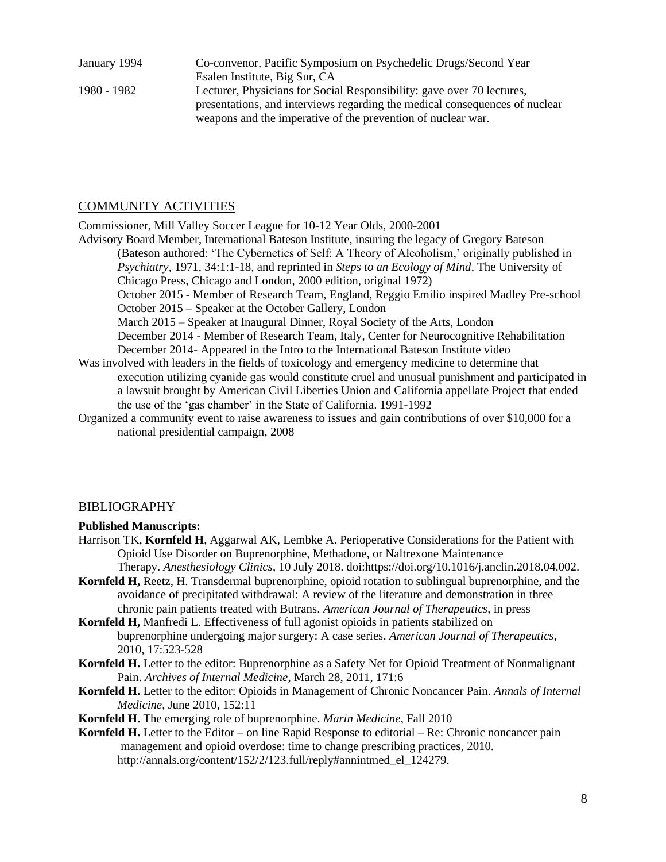January 1994 Co-convenor, Pacific Symposium on Psychedelic Drugs/Second Year Esalen Institute, Big Sur, CA 1980 - 1982 Lecturer, Physicians for Social Responsibility: gave over 70 lectures, presentations, and interviews regarding the medical consequences of nuclear weapons and the imperative of the prevention of nuclear war.

## COMMUNITY ACTIVITIES

Commissioner, Mill Valley Soccer League for 10-12 Year Olds, 2000-2001

- Advisory Board Member, International Bateson Institute, insuring the legacy of Gregory Bateson (Bateson authored: 'The Cybernetics of Self: A Theory of Alcoholism,' originally published in *Psychiatry,* 1971, 34:1:1-18, and reprinted in *Steps to an Ecology of Mind*, The University of Chicago Press, Chicago and London, 2000 edition, original 1972) October 2015 - Member of Research Team, England, Reggio Emilio inspired Madley Pre-school October 2015 – Speaker at the October Gallery, London March 2015 – Speaker at Inaugural Dinner, Royal Society of the Arts, London December 2014 - Member of Research Team, Italy, Center for Neurocognitive Rehabilitation December 2014- Appeared in the Intro to the International Bateson Institute video Was involved with leaders in the fields of toxicology and emergency medicine to determine that execution utilizing cyanide gas would constitute cruel and unusual punishment and participated in a lawsuit brought by American Civil Liberties Union and California appellate Project that ended the use of the 'gas chamber' in the State of California. 1991-1992 Organized a community event to raise awareness to issues and gain contributions of over \$10,000 for a
- national presidential campaign, 2008

### **BIBLIOGRAPHY**

### **Published Manuscripts:**

- Harrison TK, **Kornfeld H**, Aggarwal AK, Lembke A. Perioperative Considerations for the Patient with Opioid Use Disorder on Buprenorphine, Methadone, or Naltrexone Maintenance Therapy. *Anesthesiology Clinics*, 10 July 2018. doi:https://doi.org/10.1016/j.anclin.2018.04.002.
- **Kornfeld H,** Reetz, H. Transdermal buprenorphine, opioid rotation to sublingual buprenorphine, and the avoidance of precipitated withdrawal: A review of the literature and demonstration in three chronic pain patients treated with Butrans. *American Journal of Therapeutics*, in press
- **Kornfeld H,** Manfredi L. Effectiveness of full agonist opioids in patients stabilized on buprenorphine undergoing major surgery: A case series. *American Journal of Therapeutics*, 2010, 17:523-528
- **Kornfeld H.** Letter to the editor: Buprenorphine as a Safety Net for Opioid Treatment of Nonmalignant Pain. *Archives of Internal Medicine*, March 28, 2011, 171:6
- **Kornfeld H.** Letter to the editor: Opioids in Management of Chronic Noncancer Pain. *Annals of Internal Medicine*, June 2010, 152:11
- **Kornfeld H.** The emerging role of buprenorphine. *Marin Medicine*, Fall 2010
- **Kornfeld H.** Letter to the Editor on line Rapid Response to editorial Re: Chronic noncancer pain management and opioid overdose: time to change prescribing practices, 2010. http://annals.org/content/152/2/123.full/reply#annintmed\_el\_124279.